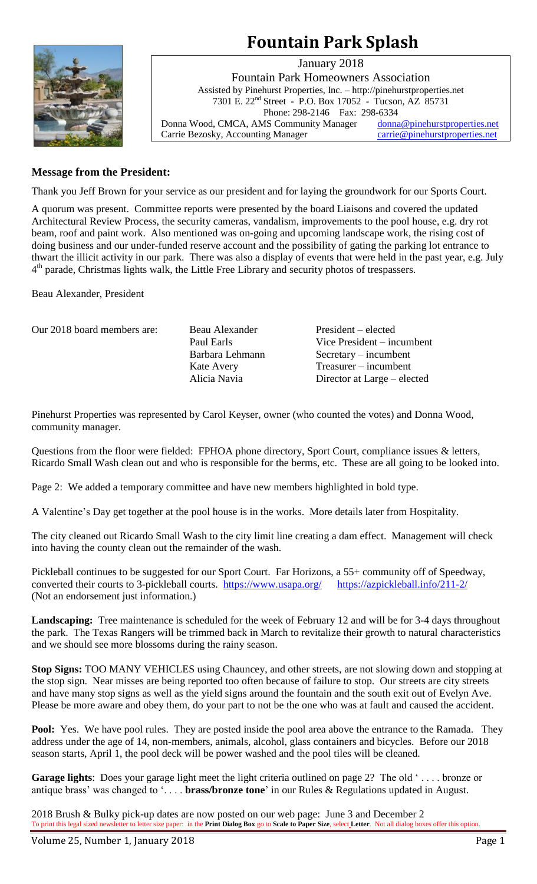# **Fountain Park Splash**



January 2018 Fountain Park Homeowners Association Assisted by Pinehurst Properties, Inc. – http://pinehurstproperties.net 7301 E. 22nd Street - P.O. Box 17052 - Tucson, AZ 85731 Phone: 298-2146 Fax: 298-6334 Donna Wood, CMCA, AMS Community Manager [donna@pinehurstproperties.net](mailto:donna@pinehurstproperties.net) Carrie Bezosky, Accounting Manager [carrie@pinehurstproperties.net](mailto:carrie@pinehurstproperties.net)

# **Message from the President:**

Thank you Jeff Brown for your service as our president and for laying the groundwork for our Sports Court.

A quorum was present. Committee reports were presented by the board Liaisons and covered the updated Architectural Review Process, the security cameras, vandalism, improvements to the pool house, e.g. dry rot beam, roof and paint work. Also mentioned was on-going and upcoming landscape work, the rising cost of doing business and our under-funded reserve account and the possibility of gating the parking lot entrance to thwart the illicit activity in our park. There was also a display of events that were held in the past year, e.g. July 4<sup>th</sup> parade, Christmas lights walk, the Little Free Library and security photos of trespassers.

Beau Alexander, President

| Our 2018 board members are: | Beau Alexander  | President – elected         |
|-----------------------------|-----------------|-----------------------------|
|                             | Paul Earls      | Vice President – incumbent  |
|                             | Barbara Lehmann | $S$ ecretary – incumbent    |
|                             | Kate Avery      | $T$ reasurer – incumbent    |
|                             | Alicia Navia    | Director at Large – elected |

Pinehurst Properties was represented by Carol Keyser, owner (who counted the votes) and Donna Wood, community manager.

Questions from the floor were fielded: FPHOA phone directory, Sport Court, compliance issues & letters, Ricardo Small Wash clean out and who is responsible for the berms, etc. These are all going to be looked into.

Page 2: We added a temporary committee and have new members highlighted in bold type.

A Valentine's Day get together at the pool house is in the works. More details later from Hospitality.

The city cleaned out Ricardo Small Wash to the city limit line creating a dam effect. Management will check into having the county clean out the remainder of the wash.

Pickleball continues to be suggested for our Sport Court. Far Horizons, a 55+ community off of Speedway, converted their courts to 3-pickleball courts. <https://www.usapa.org/><https://azpickleball.info/211-2/> (Not an endorsement just information.)

**Landscaping:** Tree maintenance is scheduled for the week of February 12 and will be for 3-4 days throughout the park. The Texas Rangers will be trimmed back in March to revitalize their growth to natural characteristics and we should see more blossoms during the rainy season.

**Stop Signs:** TOO MANY VEHICLES using Chauncey, and other streets, are not slowing down and stopping at the stop sign. Near misses are being reported too often because of failure to stop. Our streets are city streets and have many stop signs as well as the yield signs around the fountain and the south exit out of Evelyn Ave. Please be more aware and obey them, do your part to not be the one who was at fault and caused the accident.

**Pool:** Yes. We have pool rules. They are posted inside the pool area above the entrance to the Ramada. They address under the age of 14, non-members, animals, alcohol, glass containers and bicycles. Before our 2018 season starts, April 1, the pool deck will be power washed and the pool tiles will be cleaned.

**Garage lights**: Does your garage light meet the light criteria outlined on page 2? The old '... bronze or antique brass' was changed to '. . . . **brass/bronze tone**' in our Rules & Regulations updated in August.

2018 Brush & Bulky pick-up dates are now posted on our web page: June 3 and December 2 To print this legal sized newsletter to letter size paper: in the **Print Dialog Box** go to **Scale to Paper Size**, select **Letter**. Not all dialog boxes offer this option.